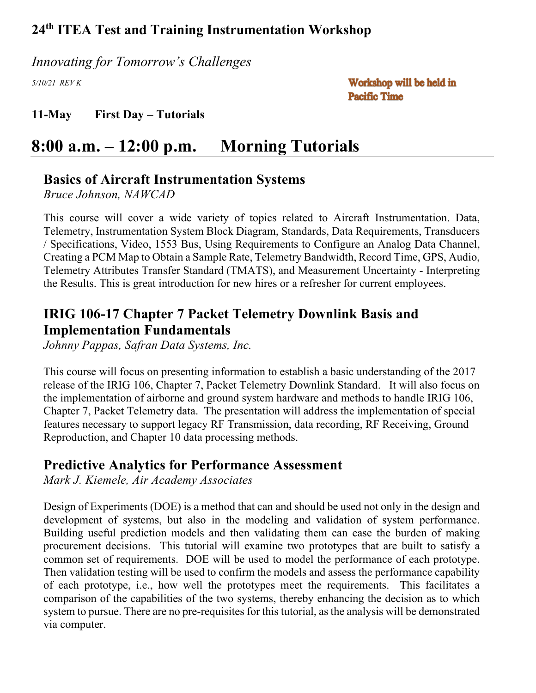*Innovating for Tomorrow's Challenges*

*5/10/21 REV K*

Workshop will be held in **Pacific Time** 

**11-May First Day – Tutorials**

# **8:00 a.m. – 12:00 p.m. Morning Tutorials**

## **Basics of Aircraft Instrumentation Systems**

*Bruce Johnson, NAWCAD*

This course will cover a wide variety of topics related to Aircraft Instrumentation. Data, Telemetry, Instrumentation System Block Diagram, Standards, Data Requirements, Transducers / Specifications, Video, 1553 Bus, Using Requirements to Configure an Analog Data Channel, Creating a PCM Map to Obtain a Sample Rate, Telemetry Bandwidth, Record Time, GPS, Audio, Telemetry Attributes Transfer Standard (TMATS), and Measurement Uncertainty - Interpreting the Results. This is great introduction for new hires or a refresher for current employees.

## **IRIG 106-17 Chapter 7 Packet Telemetry Downlink Basis and Implementation Fundamentals**

*Johnny Pappas, Safran Data Systems, Inc.*

This course will focus on presenting information to establish a basic understanding of the 2017 release of the IRIG 106, Chapter 7, Packet Telemetry Downlink Standard. It will also focus on the implementation of airborne and ground system hardware and methods to handle IRIG 106, Chapter 7, Packet Telemetry data. The presentation will address the implementation of special features necessary to support legacy RF Transmission, data recording, RF Receiving, Ground Reproduction, and Chapter 10 data processing methods.

### **Predictive Analytics for Performance Assessment**

*Mark J. Kiemele, Air Academy Associates*

Design of Experiments (DOE) is a method that can and should be used not only in the design and development of systems, but also in the modeling and validation of system performance. Building useful prediction models and then validating them can ease the burden of making procurement decisions. This tutorial will examine two prototypes that are built to satisfy a common set of requirements. DOE will be used to model the performance of each prototype. Then validation testing will be used to confirm the models and assess the performance capability of each prototype, i.e., how well the prototypes meet the requirements. This facilitates a comparison of the capabilities of the two systems, thereby enhancing the decision as to which system to pursue. There are no pre-requisites for this tutorial, as the analysis will be demonstrated via computer.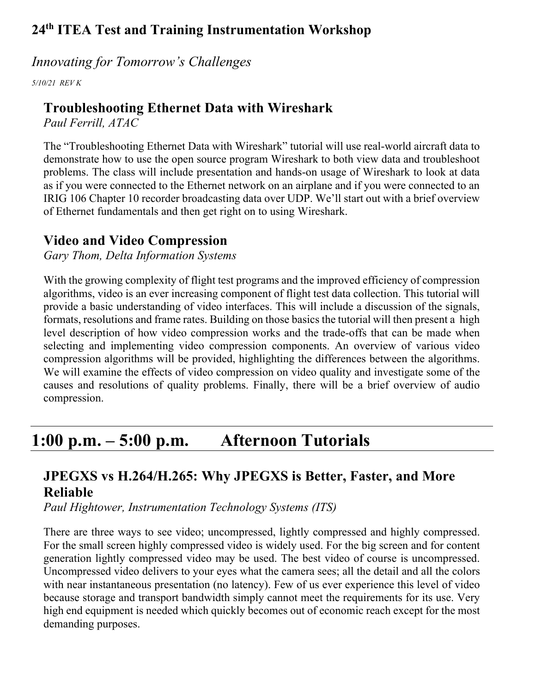### *Innovating for Tomorrow's Challenges*

*5/10/21 REV K*

## **Troubleshooting Ethernet Data with Wireshark**

*Paul Ferrill, ATAC* 

The "Troubleshooting Ethernet Data with Wireshark" tutorial will use real-world aircraft data to demonstrate how to use the open source program Wireshark to both view data and troubleshoot problems. The class will include presentation and hands-on usage of Wireshark to look at data as if you were connected to the Ethernet network on an airplane and if you were connected to an IRIG 106 Chapter 10 recorder broadcasting data over UDP. We'll start out with a brief overview of Ethernet fundamentals and then get right on to using Wireshark.

## **Video and Video Compression**

*Gary Thom, Delta Information Systems*

With the growing complexity of flight test programs and the improved efficiency of compression algorithms, video is an ever increasing component of flight test data collection. This tutorial will provide a basic understanding of video interfaces. This will include a discussion of the signals, formats, resolutions and frame rates. Building on those basics the tutorial will then present a high level description of how video compression works and the trade-offs that can be made when selecting and implementing video compression components. An overview of various video compression algorithms will be provided, highlighting the differences between the algorithms. We will examine the effects of video compression on video quality and investigate some of the causes and resolutions of quality problems. Finally, there will be a brief overview of audio compression.

# **1:00 p.m. – 5:00 p.m. Afternoon Tutorials**

# **JPEGXS vs H.264/H.265: Why JPEGXS is Better, Faster, and More Reliable**

*Paul Hightower, Instrumentation Technology Systems (ITS)*

There are three ways to see video; uncompressed, lightly compressed and highly compressed. For the small screen highly compressed video is widely used. For the big screen and for content generation lightly compressed video may be used. The best video of course is uncompressed. Uncompressed video delivers to your eyes what the camera sees; all the detail and all the colors with near instantaneous presentation (no latency). Few of us ever experience this level of video because storage and transport bandwidth simply cannot meet the requirements for its use. Very high end equipment is needed which quickly becomes out of economic reach except for the most demanding purposes.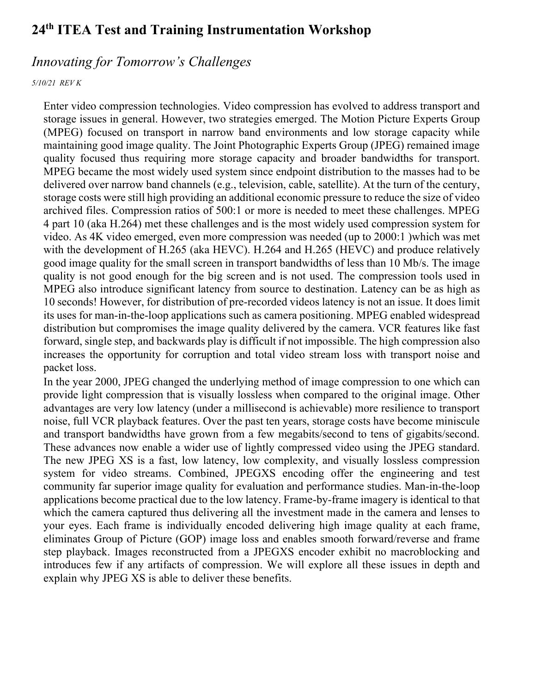### *Innovating for Tomorrow's Challenges*

#### *5/10/21 REV K*

Enter video compression technologies. Video compression has evolved to address transport and storage issues in general. However, two strategies emerged. The Motion Picture Experts Group (MPEG) focused on transport in narrow band environments and low storage capacity while maintaining good image quality. The Joint Photographic Experts Group (JPEG) remained image quality focused thus requiring more storage capacity and broader bandwidths for transport. MPEG became the most widely used system since endpoint distribution to the masses had to be delivered over narrow band channels (e.g., television, cable, satellite). At the turn of the century, storage costs were still high providing an additional economic pressure to reduce the size of video archived files. Compression ratios of 500:1 or more is needed to meet these challenges. MPEG 4 part 10 (aka H.264) met these challenges and is the most widely used compression system for video. As 4K video emerged, even more compression was needed (up to 2000:1 )which was met with the development of H.265 (aka HEVC). H.264 and H.265 (HEVC) and produce relatively good image quality for the small screen in transport bandwidths of less than 10 Mb/s. The image quality is not good enough for the big screen and is not used. The compression tools used in MPEG also introduce significant latency from source to destination. Latency can be as high as 10 seconds! However, for distribution of pre-recorded videos latency is not an issue. It does limit its uses for man-in-the-loop applications such as camera positioning. MPEG enabled widespread distribution but compromises the image quality delivered by the camera. VCR features like fast forward, single step, and backwards play is difficult if not impossible. The high compression also increases the opportunity for corruption and total video stream loss with transport noise and packet loss.

In the year 2000, JPEG changed the underlying method of image compression to one which can provide light compression that is visually lossless when compared to the original image. Other advantages are very low latency (under a millisecond is achievable) more resilience to transport noise, full VCR playback features. Over the past ten years, storage costs have become miniscule and transport bandwidths have grown from a few megabits/second to tens of gigabits/second. These advances now enable a wider use of lightly compressed video using the JPEG standard. The new JPEG XS is a fast, low latency, low complexity, and visually lossless compression system for video streams. Combined, JPEGXS encoding offer the engineering and test community far superior image quality for evaluation and performance studies. Man-in-the-loop applications become practical due to the low latency. Frame-by-frame imagery is identical to that which the camera captured thus delivering all the investment made in the camera and lenses to your eyes. Each frame is individually encoded delivering high image quality at each frame, eliminates Group of Picture (GOP) image loss and enables smooth forward/reverse and frame step playback. Images reconstructed from a JPEGXS encoder exhibit no macroblocking and introduces few if any artifacts of compression. We will explore all these issues in depth and explain why JPEG XS is able to deliver these benefits.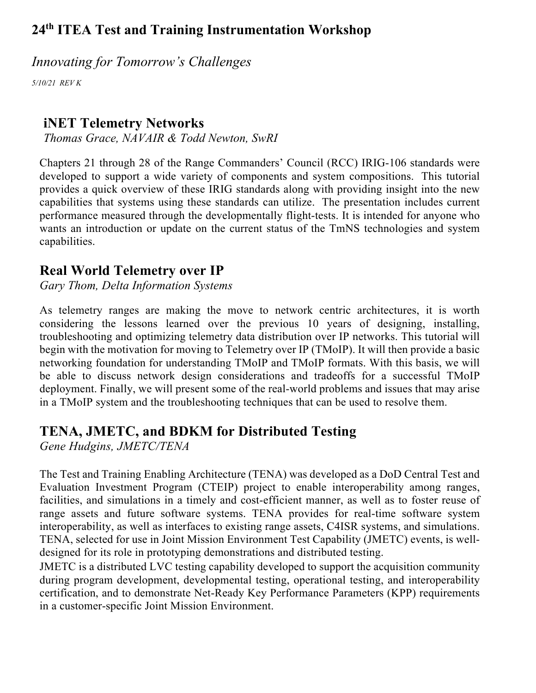*Innovating for Tomorrow's Challenges*

*5/10/21 REV K*

## **iNET Telemetry Networks**

*Thomas Grace, NAVAIR & Todd Newton, SwRI*

Chapters 21 through 28 of the Range Commanders' Council (RCC) IRIG-106 standards were developed to support a wide variety of components and system compositions. This tutorial provides a quick overview of these IRIG standards along with providing insight into the new capabilities that systems using these standards can utilize. The presentation includes current performance measured through the developmentally flight-tests. It is intended for anyone who wants an introduction or update on the current status of the TmNS technologies and system capabilities.

# **Real World Telemetry over IP**

*Gary Thom, Delta Information Systems*

As telemetry ranges are making the move to network centric architectures, it is worth considering the lessons learned over the previous 10 years of designing, installing, troubleshooting and optimizing telemetry data distribution over IP networks. This tutorial will begin with the motivation for moving to Telemetry over IP (TMoIP). It will then provide a basic networking foundation for understanding TMoIP and TMoIP formats. With this basis, we will be able to discuss network design considerations and tradeoffs for a successful TMoIP deployment. Finally, we will present some of the real-world problems and issues that may arise in a TMoIP system and the troubleshooting techniques that can be used to resolve them.

# **TENA, JMETC, and BDKM for Distributed Testing**

*Gene Hudgins, JMETC/TENA*

The Test and Training Enabling Architecture (TENA) was developed as a DoD Central Test and Evaluation Investment Program (CTEIP) project to enable interoperability among ranges, facilities, and simulations in a timely and cost-efficient manner, as well as to foster reuse of range assets and future software systems. TENA provides for real-time software system interoperability, as well as interfaces to existing range assets, C4ISR systems, and simulations. TENA, selected for use in Joint Mission Environment Test Capability (JMETC) events, is welldesigned for its role in prototyping demonstrations and distributed testing.

JMETC is a distributed LVC testing capability developed to support the acquisition community during program development, developmental testing, operational testing, and interoperability certification, and to demonstrate Net-Ready Key Performance Parameters (KPP) requirements in a customer-specific Joint Mission Environment.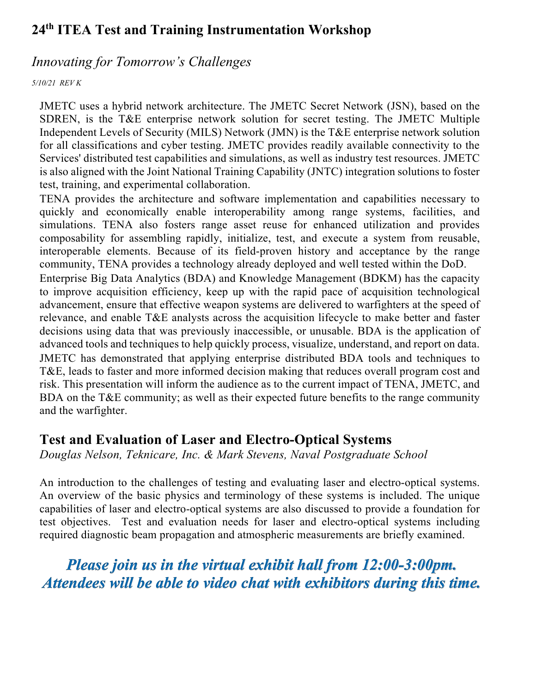### *Innovating for Tomorrow's Challenges*

#### *5/10/21 REV K*

JMETC uses a hybrid network architecture. The JMETC Secret Network (JSN), based on the SDREN, is the T&E enterprise network solution for secret testing. The JMETC Multiple Independent Levels of Security (MILS) Network (JMN) is the T&E enterprise network solution for all classifications and cyber testing. JMETC provides readily available connectivity to the Services' distributed test capabilities and simulations, as well as industry test resources. JMETC is also aligned with the Joint National Training Capability (JNTC) integration solutions to foster test, training, and experimental collaboration.

TENA provides the architecture and software implementation and capabilities necessary to quickly and economically enable interoperability among range systems, facilities, and simulations. TENA also fosters range asset reuse for enhanced utilization and provides composability for assembling rapidly, initialize, test, and execute a system from reusable, interoperable elements. Because of its field-proven history and acceptance by the range community, TENA provides a technology already deployed and well tested within the DoD.

Enterprise Big Data Analytics (BDA) and Knowledge Management (BDKM) has the capacity to improve acquisition efficiency, keep up with the rapid pace of acquisition technological advancement, ensure that effective weapon systems are delivered to warfighters at the speed of relevance, and enable T&E analysts across the acquisition lifecycle to make better and faster decisions using data that was previously inaccessible, or unusable. BDA is the application of advanced tools and techniques to help quickly process, visualize, understand, and report on data. JMETC has demonstrated that applying enterprise distributed BDA tools and techniques to T&E, leads to faster and more informed decision making that reduces overall program cost and risk. This presentation will inform the audience as to the current impact of TENA, JMETC, and BDA on the T&E community; as well as their expected future benefits to the range community and the warfighter.

### **Test and Evaluation of Laser and Electro-Optical Systems**

*Douglas Nelson, Teknicare, Inc. & Mark Stevens, Naval Postgraduate School*

An introduction to the challenges of testing and evaluating laser and electro-optical systems. An overview of the basic physics and terminology of these systems is included. The unique capabilities of laser and electro-optical systems are also discussed to provide a foundation for test objectives. Test and evaluation needs for laser and electro-optical systems including required diagnostic beam propagation and atmospheric measurements are briefly examined.

*Please join us in the virtual exhibit hall from 12:00-3:00pm. Attendees will be able to video chat with exhibitors during this time.*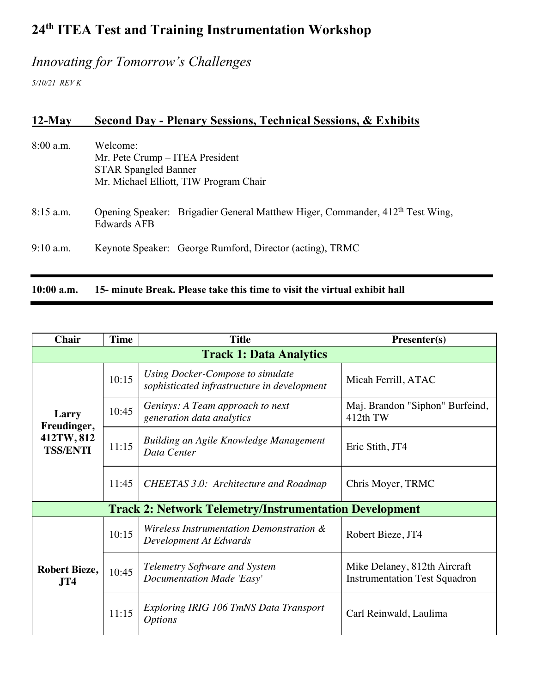# *Innovating for Tomorrow's Challenges*

*5/10/21 REV K*

## **12-May Second Day - Plenary Sessions, Technical Sessions, & Exhibits**

| $10:00$ a.m. | 15- minute Break. Please take this time to visit the virtual exhibit hall                                            |  |  |
|--------------|----------------------------------------------------------------------------------------------------------------------|--|--|
| $9:10$ a.m.  | Keynote Speaker: George Rumford, Director (acting), TRMC                                                             |  |  |
| $8:15$ a.m.  | Opening Speaker: Brigadier General Matthew Higer, Commander, 412 <sup>th</sup> Test Wing,<br><b>Edwards AFB</b>      |  |  |
| $8:00$ a.m.  | Welcome:<br>Mr. Pete Crump – ITEA President<br><b>STAR Spangled Banner</b><br>Mr. Michael Elliott, TIW Program Chair |  |  |

| <b>Chair</b>                                                  | <b>Time</b> | <b>Title</b>                                                                    | <b>Presenter(s)</b>                                                  |  |  |
|---------------------------------------------------------------|-------------|---------------------------------------------------------------------------------|----------------------------------------------------------------------|--|--|
| <b>Track 1: Data Analytics</b>                                |             |                                                                                 |                                                                      |  |  |
| Larry<br>Freudinger,<br>412TW, 812<br><b>TSS/ENTI</b>         | 10:15       | Using Docker-Compose to simulate<br>sophisticated infrastructure in development | Micah Ferrill, ATAC                                                  |  |  |
|                                                               | 10:45       | Genisys: A Team approach to next<br>generation data analytics                   | Maj. Brandon "Siphon" Burfeind,<br>412th TW                          |  |  |
|                                                               | 11:15       | Building an Agile Knowledge Management<br>Data Center                           | Eric Stith, JT4                                                      |  |  |
|                                                               | 11:45       | <b>CHEETAS 3.0: Architecture and Roadmap</b>                                    | Chris Moyer, TRMC                                                    |  |  |
| <b>Track 2: Network Telemetry/Instrumentation Development</b> |             |                                                                                 |                                                                      |  |  |
|                                                               | 10:15       | Wireless Instrumentation Demonstration &<br>Development At Edwards              | Robert Bieze, JT4                                                    |  |  |
| <b>Robert Bieze,</b><br>JT4                                   | 10:45       | <b>Telemetry Software and System</b><br>Documentation Made 'Easy'               | Mike Delaney, 812th Aircraft<br><b>Instrumentation Test Squadron</b> |  |  |
|                                                               | 11:15       | Exploring IRIG 106 TmNS Data Transport<br><i><b>Options</b></i>                 | Carl Reinwald, Laulima                                               |  |  |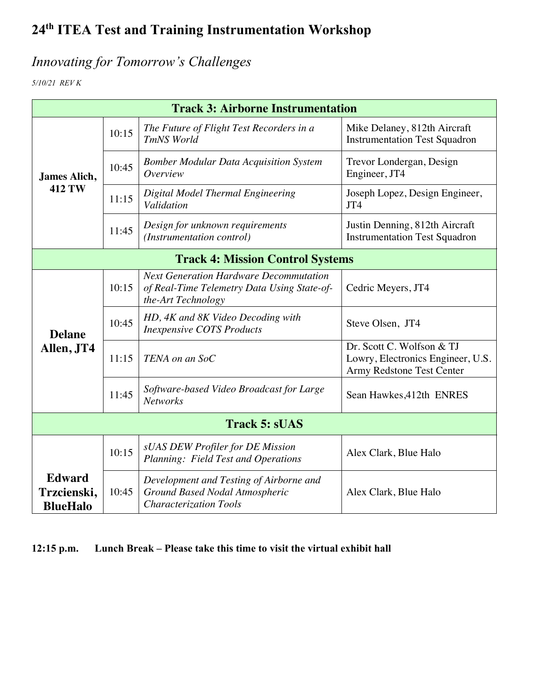# *Innovating for Tomorrow's Challenges*

*5/10/21 REV K*

| <b>Track 3: Airborne Instrumentation</b>        |       |                                                                                                                    |                                                                                             |  |
|-------------------------------------------------|-------|--------------------------------------------------------------------------------------------------------------------|---------------------------------------------------------------------------------------------|--|
| James Alich,<br><b>412 TW</b>                   | 10:15 | The Future of Flight Test Recorders in a<br>TmNS World                                                             | Mike Delaney, 812th Aircraft<br><b>Instrumentation Test Squadron</b>                        |  |
|                                                 | 10:45 | <b>Bomber Modular Data Acquisition System</b><br>Overview                                                          | Trevor Londergan, Design<br>Engineer, JT4                                                   |  |
|                                                 | 11:15 | Digital Model Thermal Engineering<br>Validation                                                                    | Joseph Lopez, Design Engineer,<br>JT4                                                       |  |
|                                                 | 11:45 | Design for unknown requirements<br>(Instrumentation control)                                                       | Justin Denning, 812th Aircraft<br><b>Instrumentation Test Squadron</b>                      |  |
| <b>Track 4: Mission Control Systems</b>         |       |                                                                                                                    |                                                                                             |  |
| <b>Delane</b><br>Allen, JT4                     | 10:15 | <b>Next Generation Hardware Decommutation</b><br>of Real-Time Telemetry Data Using State-of-<br>the-Art Technology | Cedric Meyers, JT4                                                                          |  |
|                                                 | 10:45 | HD, 4K and 8K Video Decoding with<br><b>Inexpensive COTS Products</b>                                              | Steve Olsen, JT4                                                                            |  |
|                                                 | 11:15 | TENA on an SoC                                                                                                     | Dr. Scott C. Wolfson & TJ<br>Lowry, Electronics Engineer, U.S.<br>Army Redstone Test Center |  |
|                                                 | 11:45 | Software-based Video Broadcast for Large<br><b>Networks</b>                                                        | Sean Hawkes, 412th ENRES                                                                    |  |
| <b>Track 5: sUAS</b>                            |       |                                                                                                                    |                                                                                             |  |
|                                                 | 10:15 | sUAS DEW Profiler for DE Mission<br>Planning: Field Test and Operations                                            | Alex Clark, Blue Halo                                                                       |  |
| <b>Edward</b><br>Trzcienski,<br><b>BlueHalo</b> | 10:45 | Development and Testing of Airborne and<br>Ground Based Nodal Atmospheric<br><b>Characterization Tools</b>         | Alex Clark, Blue Halo                                                                       |  |

**12:15 p.m. Lunch Break – Please take this time to visit the virtual exhibit hall**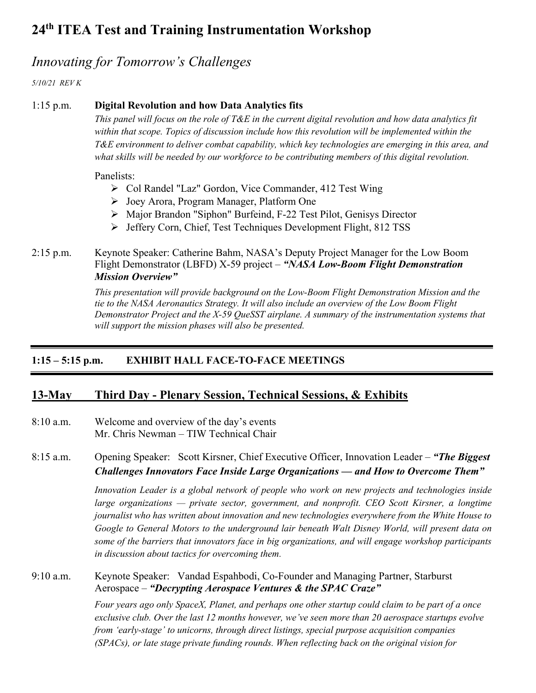### *Innovating for Tomorrow's Challenges*

*5/10/21 REV K*

#### 1:15 p.m. **Digital Revolution and how Data Analytics fits**

*This panel will focus on the role of T&E in the current digital revolution and how data analytics fit within that scope. Topics of discussion include how this revolution will be implemented within the T&E environment to deliver combat capability, which key technologies are emerging in this area, and what skills will be needed by our workforce to be contributing members of this digital revolution.*

Panelists:

- Ø Col Randel "Laz" Gordon, Vice Commander, 412 Test Wing
- Ø Joey Arora, Program Manager, Platform One
- Ø Major Brandon "Siphon" Burfeind, F-22 Test Pilot, Genisys Director
- Ø Jeffery Corn, Chief, Test Techniques Development Flight, 812 TSS

#### 2:15 p.m. Keynote Speaker: Catherine Bahm, NASA's Deputy Project Manager for the Low Boom Flight Demonstrator (LBFD) X-59 project – *"NASA Low-Boom Flight Demonstration Mission Overview"*

*This presentation will provide background on the Low-Boom Flight Demonstration Mission and the tie to the NASA Aeronautics Strategy. It will also include an overview of the Low Boom Flight Demonstrator Project and the X-59 QueSST airplane. A summary of the instrumentation systems that will support the mission phases will also be presented.*

#### **1:15 – 5:15 p.m. EXHIBIT HALL FACE-TO-FACE MEETINGS**

#### **13-May Third Day - Plenary Session, Technical Sessions, & Exhibits**

8:10 a.m. Welcome and overview of the day's events Mr. Chris Newman – TIW Technical Chair

8:15 a.m. Opening Speaker: Scott Kirsner, Chief Executive Officer, Innovation Leader – *"The Biggest Challenges Innovators Face Inside Large Organizations — and How to Overcome Them"*

> *Innovation Leader is a global network of people who work on new projects and technologies inside large organizations — private sector, government, and nonprofit. CEO Scott Kirsner, a longtime journalist who has written about innovation and new technologies everywhere from the White House to Google to General Motors to the underground lair beneath Walt Disney World, will present data on some of the barriers that innovators face in big organizations, and will engage workshop participants in discussion about tactics for overcoming them.*

#### 9:10 a.m. Keynote Speaker: Vandad Espahbodi, Co-Founder and Managing Partner, Starburst Aerospace – *"Decrypting Aerospace Ventures & the SPAC Craze"*

*Four years ago only SpaceX, Planet, and perhaps one other startup could claim to be part of a once exclusive club. Over the last 12 months however, we've seen more than 20 aerospace startups evolve from 'early-stage' to unicorns, through direct listings, special purpose acquisition companies (SPACs), or late stage private funding rounds. When reflecting back on the original vision for*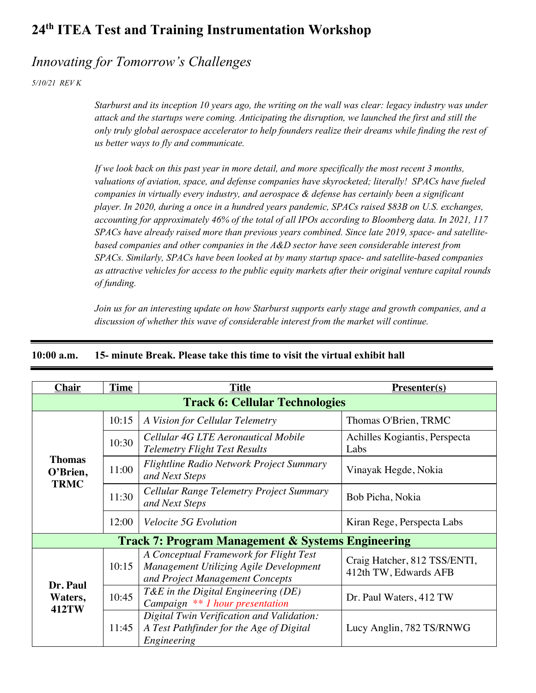### *Innovating for Tomorrow's Challenges*

*5/10/21 REV K*

*Starburst and its inception 10 years ago, the writing on the wall was clear: legacy industry was under attack and the startups were coming. Anticipating the disruption, we launched the first and still the only truly global aerospace accelerator to help founders realize their dreams while finding the rest of us better ways to fly and communicate.*

*If we look back on this past year in more detail, and more specifically the most recent 3 months, valuations of aviation, space, and defense companies have skyrocketed; literally! SPACs have fueled companies in virtually every industry, and aerospace & defense has certainly been a significant player. In 2020, during a once in a hundred years pandemic, SPACs raised \$83B on U.S. exchanges, accounting for approximately 46% of the total of all IPOs according to Bloomberg data. In 2021, 117 SPACs have already raised more than previous years combined. Since late 2019, space- and satellitebased companies and other companies in the A&D sector have seen considerable interest from SPACs. Similarly, SPACs have been looked at by many startup space- and satellite-based companies as attractive vehicles for access to the public equity markets after their original venture capital rounds of funding.*

*Join us for an interesting update on how Starburst supports early stage and growth companies, and a discussion of whether this wave of considerable interest from the market will continue.*

| <b>Chair</b>                                                 | <b>Time</b> | <b>Title</b>                                                                                                        | $Presenter(s)$                                        |  |  |
|--------------------------------------------------------------|-------------|---------------------------------------------------------------------------------------------------------------------|-------------------------------------------------------|--|--|
| <b>Track 6: Cellular Technologies</b>                        |             |                                                                                                                     |                                                       |  |  |
|                                                              | 10:15       | A Vision for Cellular Telemetry                                                                                     | Thomas O'Brien, TRMC                                  |  |  |
|                                                              | 10:30       | Cellular 4G LTE Aeronautical Mobile<br><b>Telemetry Flight Test Results</b>                                         | Achilles Kogiantis, Perspecta<br>Labs                 |  |  |
| <b>Thomas</b><br>O'Brien,                                    | 11:00       | <b>Flightline Radio Network Project Summary</b><br>and Next Steps                                                   | Vinayak Hegde, Nokia                                  |  |  |
| <b>TRMC</b>                                                  | 11:30       | Cellular Range Telemetry Project Summary<br>and Next Steps                                                          | Bob Picha, Nokia                                      |  |  |
|                                                              | 12:00       | <i>Velocite 5G Evolution</i>                                                                                        | Kiran Rege, Perspecta Labs                            |  |  |
| <b>Track 7: Program Management &amp; Systems Engineering</b> |             |                                                                                                                     |                                                       |  |  |
| Dr. Paul                                                     | 10:15       | A Conceptual Framework for Flight Test<br>Management Utilizing Agile Development<br>and Project Management Concepts | Craig Hatcher, 812 TSS/ENTI,<br>412th TW, Edwards AFB |  |  |
| Waters,<br><b>412TW</b>                                      | 10:45       | T&E in the Digital Engineering $(DE)$<br>Campaign ** 1 hour presentation                                            | Dr. Paul Waters, 412 TW                               |  |  |
|                                                              | 11:45       | Digital Twin Verification and Validation:<br>A Test Pathfinder for the Age of Digital<br>Engineering                | Lucy Anglin, 782 TS/RNWG                              |  |  |

#### **10:00 a.m. 15- minute Break. Please take this time to visit the virtual exhibit hall**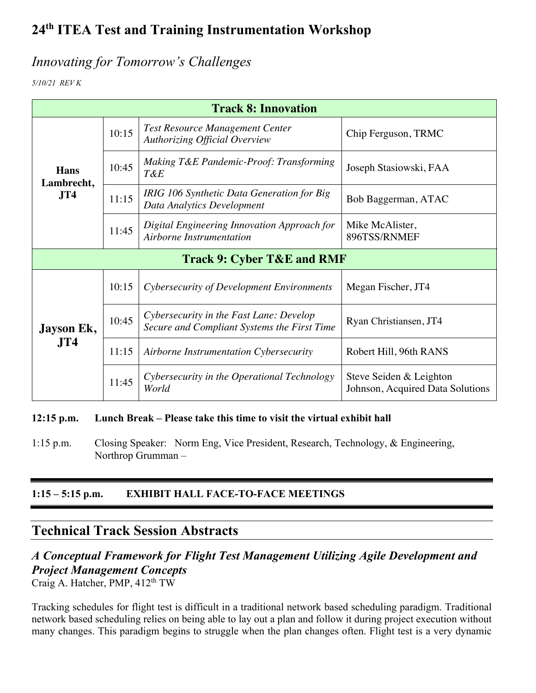### *Innovating for Tomorrow's Challenges*

*5/10/21 REV K*

| <b>Track 8: Innovation</b>                   |       |                                                                                        |                                                             |  |
|----------------------------------------------|-------|----------------------------------------------------------------------------------------|-------------------------------------------------------------|--|
| <b>Hans</b><br>Lambrecht,<br>J <sub>T4</sub> | 10:15 | <b>Test Resource Management Center</b><br><b>Authorizing Official Overview</b>         | Chip Ferguson, TRMC                                         |  |
|                                              | 10:45 | Making T&E Pandemic-Proof: Transforming<br>T&E                                         | Joseph Stasiowski, FAA                                      |  |
|                                              | 11:15 | IRIG 106 Synthetic Data Generation for Big<br>Data Analytics Development               | Bob Baggerman, ATAC                                         |  |
|                                              | 11:45 | Digital Engineering Innovation Approach for<br>Airborne Instrumentation                | Mike McAlister,<br>896TSS/RNMEF                             |  |
| <b>Track 9: Cyber T&amp;E and RMF</b>        |       |                                                                                        |                                                             |  |
|                                              | 10:15 | Cybersecurity of Development Environments                                              | Megan Fischer, JT4                                          |  |
| Jayson Ek,                                   | 10:45 | Cybersecurity in the Fast Lane: Develop<br>Secure and Compliant Systems the First Time | Ryan Christiansen, JT4                                      |  |
| J <sub>T</sub> 4                             | 11:15 | Airborne Instrumentation Cybersecurity                                                 | Robert Hill, 96th RANS                                      |  |
|                                              | 11:45 | Cybersecurity in the Operational Technology<br>World                                   | Steve Seiden & Leighton<br>Johnson, Acquired Data Solutions |  |

#### **12:15 p.m. Lunch Break – Please take this time to visit the virtual exhibit hall**

1:15 p.m. Closing Speaker: Norm Eng, Vice President, Research, Technology, & Engineering, Northrop Grumman –

#### **1:15 – 5:15 p.m. EXHIBIT HALL FACE-TO-FACE MEETINGS**

### **Technical Track Session Abstracts**

### *A Conceptual Framework for Flight Test Management Utilizing Agile Development and Project Management Concepts*

Craig A. Hatcher, PMP, 412<sup>th</sup> TW

Tracking schedules for flight test is difficult in a traditional network based scheduling paradigm. Traditional network based scheduling relies on being able to lay out a plan and follow it during project execution without many changes. This paradigm begins to struggle when the plan changes often. Flight test is a very dynamic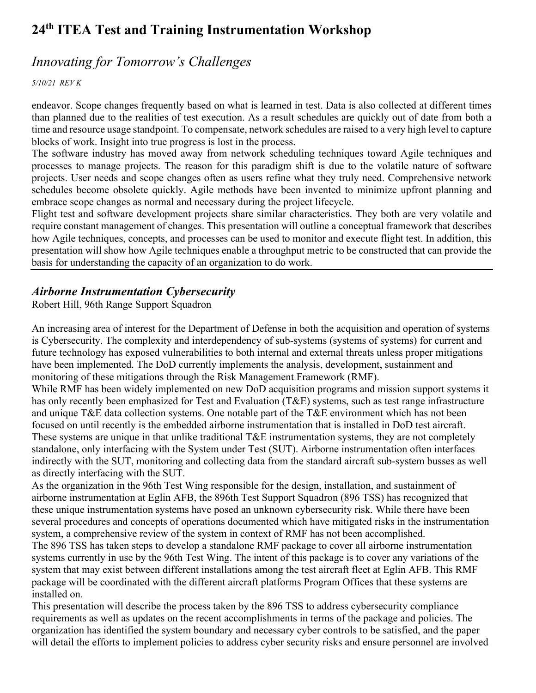### *Innovating for Tomorrow's Challenges*

*5/10/21 REV K*

endeavor. Scope changes frequently based on what is learned in test. Data is also collected at different times than planned due to the realities of test execution. As a result schedules are quickly out of date from both a time and resource usage standpoint. To compensate, network schedules are raised to a very high level to capture blocks of work. Insight into true progress is lost in the process.

The software industry has moved away from network scheduling techniques toward Agile techniques and processes to manage projects. The reason for this paradigm shift is due to the volatile nature of software projects. User needs and scope changes often as users refine what they truly need. Comprehensive network schedules become obsolete quickly. Agile methods have been invented to minimize upfront planning and embrace scope changes as normal and necessary during the project lifecycle.

Flight test and software development projects share similar characteristics. They both are very volatile and require constant management of changes. This presentation will outline a conceptual framework that describes how Agile techniques, concepts, and processes can be used to monitor and execute flight test. In addition, this presentation will show how Agile techniques enable a throughput metric to be constructed that can provide the basis for understanding the capacity of an organization to do work.

#### *Airborne Instrumentation Cybersecurity*

Robert Hill, 96th Range Support Squadron

An increasing area of interest for the Department of Defense in both the acquisition and operation of systems is Cybersecurity. The complexity and interdependency of sub-systems (systems of systems) for current and future technology has exposed vulnerabilities to both internal and external threats unless proper mitigations have been implemented. The DoD currently implements the analysis, development, sustainment and monitoring of these mitigations through the Risk Management Framework (RMF).

While RMF has been widely implemented on new DoD acquisition programs and mission support systems it has only recently been emphasized for Test and Evaluation (T&E) systems, such as test range infrastructure and unique T&E data collection systems. One notable part of the T&E environment which has not been focused on until recently is the embedded airborne instrumentation that is installed in DoD test aircraft. These systems are unique in that unlike traditional T&E instrumentation systems, they are not completely standalone, only interfacing with the System under Test (SUT). Airborne instrumentation often interfaces indirectly with the SUT, monitoring and collecting data from the standard aircraft sub-system busses as well as directly interfacing with the SUT.

As the organization in the 96th Test Wing responsible for the design, installation, and sustainment of airborne instrumentation at Eglin AFB, the 896th Test Support Squadron (896 TSS) has recognized that these unique instrumentation systems have posed an unknown cybersecurity risk. While there have been several procedures and concepts of operations documented which have mitigated risks in the instrumentation system, a comprehensive review of the system in context of RMF has not been accomplished.

The 896 TSS has taken steps to develop a standalone RMF package to cover all airborne instrumentation systems currently in use by the 96th Test Wing. The intent of this package is to cover any variations of the system that may exist between different installations among the test aircraft fleet at Eglin AFB. This RMF package will be coordinated with the different aircraft platforms Program Offices that these systems are installed on.

This presentation will describe the process taken by the 896 TSS to address cybersecurity compliance requirements as well as updates on the recent accomplishments in terms of the package and policies. The organization has identified the system boundary and necessary cyber controls to be satisfied, and the paper will detail the efforts to implement policies to address cyber security risks and ensure personnel are involved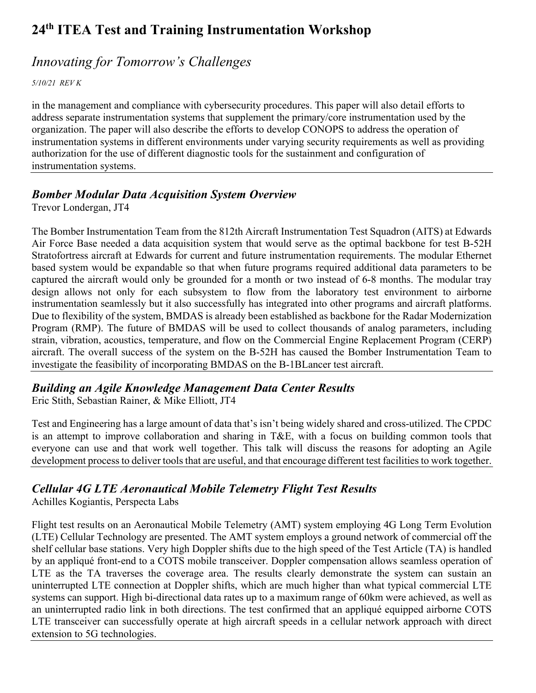### *Innovating for Tomorrow's Challenges*

*5/10/21 REV K*

in the management and compliance with cybersecurity procedures. This paper will also detail efforts to address separate instrumentation systems that supplement the primary/core instrumentation used by the organization. The paper will also describe the efforts to develop CONOPS to address the operation of instrumentation systems in different environments under varying security requirements as well as providing authorization for the use of different diagnostic tools for the sustainment and configuration of instrumentation systems.

### *Bomber Modular Data Acquisition System Overview*

Trevor Londergan, JT4

The Bomber Instrumentation Team from the 812th Aircraft Instrumentation Test Squadron (AITS) at Edwards Air Force Base needed a data acquisition system that would serve as the optimal backbone for test B-52H Stratofortress aircraft at Edwards for current and future instrumentation requirements. The modular Ethernet based system would be expandable so that when future programs required additional data parameters to be captured the aircraft would only be grounded for a month or two instead of 6-8 months. The modular tray design allows not only for each subsystem to flow from the laboratory test environment to airborne instrumentation seamlessly but it also successfully has integrated into other programs and aircraft platforms. Due to flexibility of the system, BMDAS is already been established as backbone for the Radar Modernization Program (RMP). The future of BMDAS will be used to collect thousands of analog parameters, including strain, vibration, acoustics, temperature, and flow on the Commercial Engine Replacement Program (CERP) aircraft. The overall success of the system on the B-52H has caused the Bomber Instrumentation Team to investigate the feasibility of incorporating BMDAS on the B-1BLancer test aircraft.

### *Building an Agile Knowledge Management Data Center Results*

Eric Stith, Sebastian Rainer, & Mike Elliott, JT4

Test and Engineering has a large amount of data that's isn't being widely shared and cross-utilized. The CPDC is an attempt to improve collaboration and sharing in T&E, with a focus on building common tools that everyone can use and that work well together. This talk will discuss the reasons for adopting an Agile development process to deliver tools that are useful, and that encourage different test facilities to work together.

### *Cellular 4G LTE Aeronautical Mobile Telemetry Flight Test Results*

Achilles Kogiantis, Perspecta Labs

Flight test results on an Aeronautical Mobile Telemetry (AMT) system employing 4G Long Term Evolution (LTE) Cellular Technology are presented. The AMT system employs a ground network of commercial off the shelf cellular base stations. Very high Doppler shifts due to the high speed of the Test Article (TA) is handled by an appliqué front-end to a COTS mobile transceiver. Doppler compensation allows seamless operation of LTE as the TA traverses the coverage area. The results clearly demonstrate the system can sustain an uninterrupted LTE connection at Doppler shifts, which are much higher than what typical commercial LTE systems can support. High bi-directional data rates up to a maximum range of 60km were achieved, as well as an uninterrupted radio link in both directions. The test confirmed that an appliqué equipped airborne COTS LTE transceiver can successfully operate at high aircraft speeds in a cellular network approach with direct extension to 5G technologies.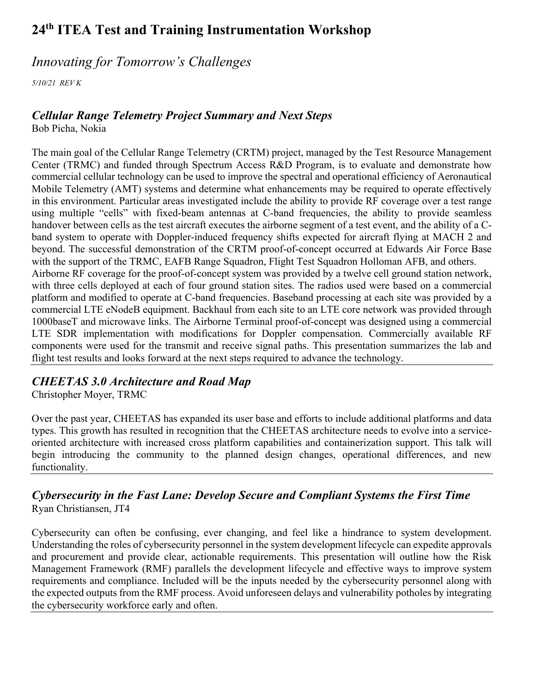### *Innovating for Tomorrow's Challenges*

*5/10/21 REV K*

#### *Cellular Range Telemetry Project Summary and Next Steps*

Bob Picha, Nokia

The main goal of the Cellular Range Telemetry (CRTM) project, managed by the Test Resource Management Center (TRMC) and funded through Spectrum Access R&D Program, is to evaluate and demonstrate how commercial cellular technology can be used to improve the spectral and operational efficiency of Aeronautical Mobile Telemetry (AMT) systems and determine what enhancements may be required to operate effectively in this environment. Particular areas investigated include the ability to provide RF coverage over a test range using multiple "cells" with fixed-beam antennas at C-band frequencies, the ability to provide seamless handover between cells as the test aircraft executes the airborne segment of a test event, and the ability of a Cband system to operate with Doppler-induced frequency shifts expected for aircraft flying at MACH 2 and beyond. The successful demonstration of the CRTM proof-of-concept occurred at Edwards Air Force Base with the support of the TRMC, EAFB Range Squadron, Flight Test Squadron Holloman AFB, and others. Airborne RF coverage for the proof-of-concept system was provided by a twelve cell ground station network, with three cells deployed at each of four ground station sites. The radios used were based on a commercial platform and modified to operate at C-band frequencies. Baseband processing at each site was provided by a commercial LTE eNodeB equipment. Backhaul from each site to an LTE core network was provided through 1000baseT and microwave links. The Airborne Terminal proof-of-concept was designed using a commercial LTE SDR implementation with modifications for Doppler compensation. Commercially available RF components were used for the transmit and receive signal paths. This presentation summarizes the lab and flight test results and looks forward at the next steps required to advance the technology.

### *CHEETAS 3.0 Architecture and Road Map*

Christopher Moyer, TRMC

Over the past year, CHEETAS has expanded its user base and efforts to include additional platforms and data types. This growth has resulted in recognition that the CHEETAS architecture needs to evolve into a serviceoriented architecture with increased cross platform capabilities and containerization support. This talk will begin introducing the community to the planned design changes, operational differences, and new functionality.

#### *Cybersecurity in the Fast Lane: Develop Secure and Compliant Systems the First Time* Ryan Christiansen, JT4

Cybersecurity can often be confusing, ever changing, and feel like a hindrance to system development. Understanding the roles of cybersecurity personnel in the system development lifecycle can expedite approvals and procurement and provide clear, actionable requirements. This presentation will outline how the Risk Management Framework (RMF) parallels the development lifecycle and effective ways to improve system requirements and compliance. Included will be the inputs needed by the cybersecurity personnel along with the expected outputs from the RMF process. Avoid unforeseen delays and vulnerability potholes by integrating the cybersecurity workforce early and often.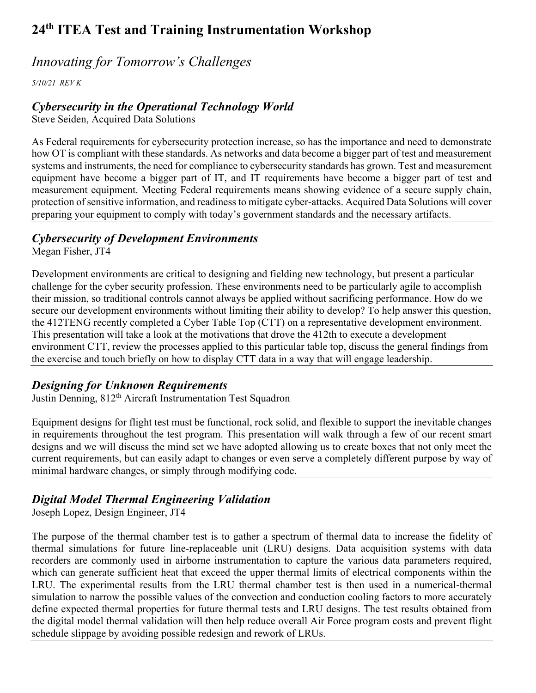### *Innovating for Tomorrow's Challenges*

*5/10/21 REV K*

#### *Cybersecurity in the Operational Technology World*

Steve Seiden, Acquired Data Solutions

As Federal requirements for cybersecurity protection increase, so has the importance and need to demonstrate how OT is compliant with these standards. As networks and data become a bigger part of test and measurement systems and instruments, the need for compliance to cybersecurity standards has grown. Test and measurement equipment have become a bigger part of IT, and IT requirements have become a bigger part of test and measurement equipment. Meeting Federal requirements means showing evidence of a secure supply chain, protection of sensitive information, and readiness to mitigate cyber-attacks. Acquired Data Solutions will cover preparing your equipment to comply with today's government standards and the necessary artifacts.

### *Cybersecurity of Development Environments*

Megan Fisher, JT4

Development environments are critical to designing and fielding new technology, but present a particular challenge for the cyber security profession. These environments need to be particularly agile to accomplish their mission, so traditional controls cannot always be applied without sacrificing performance. How do we secure our development environments without limiting their ability to develop? To help answer this question, the 412TENG recently completed a Cyber Table Top (CTT) on a representative development environment. This presentation will take a look at the motivations that drove the 412th to execute a development environment CTT, review the processes applied to this particular table top, discuss the general findings from the exercise and touch briefly on how to display CTT data in a way that will engage leadership.

### *Designing for Unknown Requirements*

Justin Denning, 812<sup>th</sup> Aircraft Instrumentation Test Squadron

Equipment designs for flight test must be functional, rock solid, and flexible to support the inevitable changes in requirements throughout the test program. This presentation will walk through a few of our recent smart designs and we will discuss the mind set we have adopted allowing us to create boxes that not only meet the current requirements, but can easily adapt to changes or even serve a completely different purpose by way of minimal hardware changes, or simply through modifying code.

### *Digital Model Thermal Engineering Validation*

Joseph Lopez, Design Engineer, JT4

The purpose of the thermal chamber test is to gather a spectrum of thermal data to increase the fidelity of thermal simulations for future line-replaceable unit (LRU) designs. Data acquisition systems with data recorders are commonly used in airborne instrumentation to capture the various data parameters required, which can generate sufficient heat that exceed the upper thermal limits of electrical components within the LRU. The experimental results from the LRU thermal chamber test is then used in a numerical-thermal simulation to narrow the possible values of the convection and conduction cooling factors to more accurately define expected thermal properties for future thermal tests and LRU designs. The test results obtained from the digital model thermal validation will then help reduce overall Air Force program costs and prevent flight schedule slippage by avoiding possible redesign and rework of LRUs.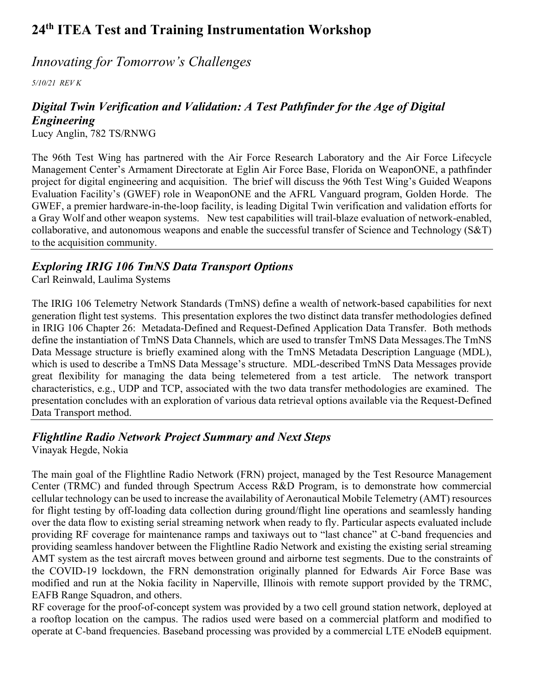### *Innovating for Tomorrow's Challenges*

*5/10/21 REV K*

### *Digital Twin Verification and Validation: A Test Pathfinder for the Age of Digital Engineering*

Lucy Anglin, 782 TS/RNWG

The 96th Test Wing has partnered with the Air Force Research Laboratory and the Air Force Lifecycle Management Center's Armament Directorate at Eglin Air Force Base, Florida on WeaponONE, a pathfinder project for digital engineering and acquisition. The brief will discuss the 96th Test Wing's Guided Weapons Evaluation Facility's (GWEF) role in WeaponONE and the AFRL Vanguard program, Golden Horde. The GWEF, a premier hardware-in-the-loop facility, is leading Digital Twin verification and validation efforts for a Gray Wolf and other weapon systems. New test capabilities will trail-blaze evaluation of network-enabled, collaborative, and autonomous weapons and enable the successful transfer of Science and Technology (S&T) to the acquisition community.

### *Exploring IRIG 106 TmNS Data Transport Options*

Carl Reinwald, Laulima Systems

The IRIG 106 Telemetry Network Standards (TmNS) define a wealth of network-based capabilities for next generation flight test systems. This presentation explores the two distinct data transfer methodologies defined in IRIG 106 Chapter 26: Metadata-Defined and Request-Defined Application Data Transfer. Both methods define the instantiation of TmNS Data Channels, which are used to transfer TmNS Data Messages.The TmNS Data Message structure is briefly examined along with the TmNS Metadata Description Language (MDL), which is used to describe a TmNS Data Message's structure. MDL-described TmNS Data Messages provide great flexibility for managing the data being telemetered from a test article. The network transport characteristics, e.g., UDP and TCP, associated with the two data transfer methodologies are examined. The presentation concludes with an exploration of various data retrieval options available via the Request-Defined Data Transport method.

### *Flightline Radio Network Project Summary and Next Steps*

Vinayak Hegde, Nokia

The main goal of the Flightline Radio Network (FRN) project, managed by the Test Resource Management Center (TRMC) and funded through Spectrum Access R&D Program, is to demonstrate how commercial cellular technology can be used to increase the availability of Aeronautical Mobile Telemetry (AMT) resources for flight testing by off-loading data collection during ground/flight line operations and seamlessly handing over the data flow to existing serial streaming network when ready to fly. Particular aspects evaluated include providing RF coverage for maintenance ramps and taxiways out to "last chance" at C-band frequencies and providing seamless handover between the Flightline Radio Network and existing the existing serial streaming AMT system as the test aircraft moves between ground and airborne test segments. Due to the constraints of the COVID-19 lockdown, the FRN demonstration originally planned for Edwards Air Force Base was modified and run at the Nokia facility in Naperville, Illinois with remote support provided by the TRMC, EAFB Range Squadron, and others.

RF coverage for the proof-of-concept system was provided by a two cell ground station network, deployed at a rooftop location on the campus. The radios used were based on a commercial platform and modified to operate at C-band frequencies. Baseband processing was provided by a commercial LTE eNodeB equipment.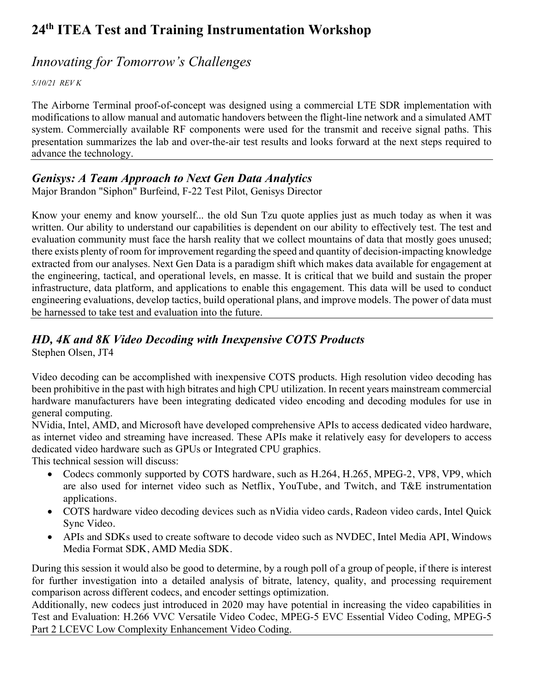## *Innovating for Tomorrow's Challenges*

*5/10/21 REV K*

The Airborne Terminal proof-of-concept was designed using a commercial LTE SDR implementation with modifications to allow manual and automatic handovers between the flight-line network and a simulated AMT system. Commercially available RF components were used for the transmit and receive signal paths. This presentation summarizes the lab and over-the-air test results and looks forward at the next steps required to advance the technology.

#### *Genisys: A Team Approach to Next Gen Data Analytics*

Major Brandon "Siphon" Burfeind, F-22 Test Pilot, Genisys Director

Know your enemy and know yourself... the old Sun Tzu quote applies just as much today as when it was written. Our ability to understand our capabilities is dependent on our ability to effectively test. The test and evaluation community must face the harsh reality that we collect mountains of data that mostly goes unused; there exists plenty of room for improvement regarding the speed and quantity of decision-impacting knowledge extracted from our analyses. Next Gen Data is a paradigm shift which makes data available for engagement at the engineering, tactical, and operational levels, en masse. It is critical that we build and sustain the proper infrastructure, data platform, and applications to enable this engagement. This data will be used to conduct engineering evaluations, develop tactics, build operational plans, and improve models. The power of data must be harnessed to take test and evaluation into the future.

### *HD, 4K and 8K Video Decoding with Inexpensive COTS Products*

Stephen Olsen, JT4

Video decoding can be accomplished with inexpensive COTS products. High resolution video decoding has been prohibitive in the past with high bitrates and high CPU utilization. In recent years mainstream commercial hardware manufacturers have been integrating dedicated video encoding and decoding modules for use in general computing.

NVidia, Intel, AMD, and Microsoft have developed comprehensive APIs to access dedicated video hardware, as internet video and streaming have increased. These APIs make it relatively easy for developers to access dedicated video hardware such as GPUs or Integrated CPU graphics.

This technical session will discuss:

- Codecs commonly supported by COTS hardware, such as H.264, H.265, MPEG-2, VP8, VP9, which are also used for internet video such as Netflix, YouTube, and Twitch, and T&E instrumentation applications.
- COTS hardware video decoding devices such as nVidia video cards, Radeon video cards, Intel Quick Sync Video.
- APIs and SDKs used to create software to decode video such as NVDEC, Intel Media API, Windows Media Format SDK, AMD Media SDK.

During this session it would also be good to determine, by a rough poll of a group of people, if there is interest for further investigation into a detailed analysis of bitrate, latency, quality, and processing requirement comparison across different codecs, and encoder settings optimization.

Additionally, new codecs just introduced in 2020 may have potential in increasing the video capabilities in Test and Evaluation: H.266 VVC Versatile Video Codec, MPEG-5 EVC Essential Video Coding, MPEG-5 Part 2 LCEVC Low Complexity Enhancement Video Coding.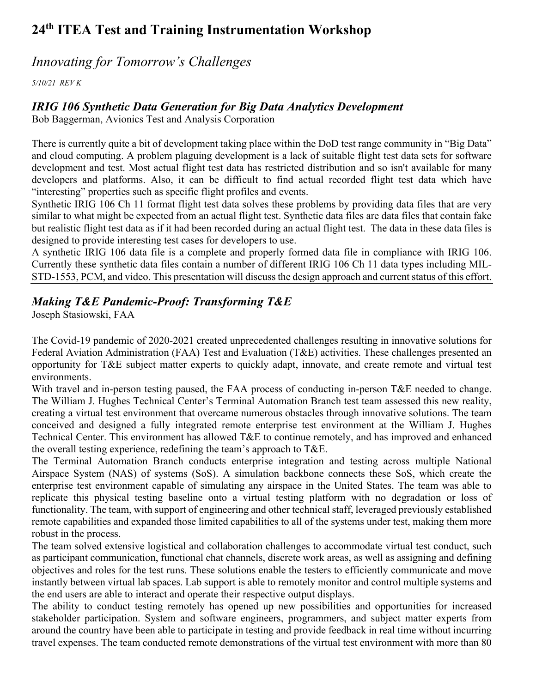### *Innovating for Tomorrow's Challenges*

*5/10/21 REV K*

#### *IRIG 106 Synthetic Data Generation for Big Data Analytics Development*

Bob Baggerman, Avionics Test and Analysis Corporation

There is currently quite a bit of development taking place within the DoD test range community in "Big Data" and cloud computing. A problem plaguing development is a lack of suitable flight test data sets for software development and test. Most actual flight test data has restricted distribution and so isn't available for many developers and platforms. Also, it can be difficult to find actual recorded flight test data which have "interesting" properties such as specific flight profiles and events.

Synthetic IRIG 106 Ch 11 format flight test data solves these problems by providing data files that are very similar to what might be expected from an actual flight test. Synthetic data files are data files that contain fake but realistic flight test data as if it had been recorded during an actual flight test. The data in these data files is designed to provide interesting test cases for developers to use.

A synthetic IRIG 106 data file is a complete and properly formed data file in compliance with IRIG 106. Currently these synthetic data files contain a number of different IRIG 106 Ch 11 data types including MIL-STD-1553, PCM, and video. This presentation will discuss the design approach and current status of this effort.

### *Making T&E Pandemic-Proof: Transforming T&E*

Joseph Stasiowski, FAA

The Covid-19 pandemic of 2020-2021 created unprecedented challenges resulting in innovative solutions for Federal Aviation Administration (FAA) Test and Evaluation (T&E) activities. These challenges presented an opportunity for T&E subject matter experts to quickly adapt, innovate, and create remote and virtual test environments.

With travel and in-person testing paused, the FAA process of conducting in-person T&E needed to change. The William J. Hughes Technical Center's Terminal Automation Branch test team assessed this new reality, creating a virtual test environment that overcame numerous obstacles through innovative solutions. The team conceived and designed a fully integrated remote enterprise test environment at the William J. Hughes Technical Center. This environment has allowed T&E to continue remotely, and has improved and enhanced the overall testing experience, redefining the team's approach to T&E.

The Terminal Automation Branch conducts enterprise integration and testing across multiple National Airspace System (NAS) of systems (SoS). A simulation backbone connects these SoS, which create the enterprise test environment capable of simulating any airspace in the United States. The team was able to replicate this physical testing baseline onto a virtual testing platform with no degradation or loss of functionality. The team, with support of engineering and other technical staff, leveraged previously established remote capabilities and expanded those limited capabilities to all of the systems under test, making them more robust in the process.

The team solved extensive logistical and collaboration challenges to accommodate virtual test conduct, such as participant communication, functional chat channels, discrete work areas, as well as assigning and defining objectives and roles for the test runs. These solutions enable the testers to efficiently communicate and move instantly between virtual lab spaces. Lab support is able to remotely monitor and control multiple systems and the end users are able to interact and operate their respective output displays.

The ability to conduct testing remotely has opened up new possibilities and opportunities for increased stakeholder participation. System and software engineers, programmers, and subject matter experts from around the country have been able to participate in testing and provide feedback in real time without incurring travel expenses. The team conducted remote demonstrations of the virtual test environment with more than 80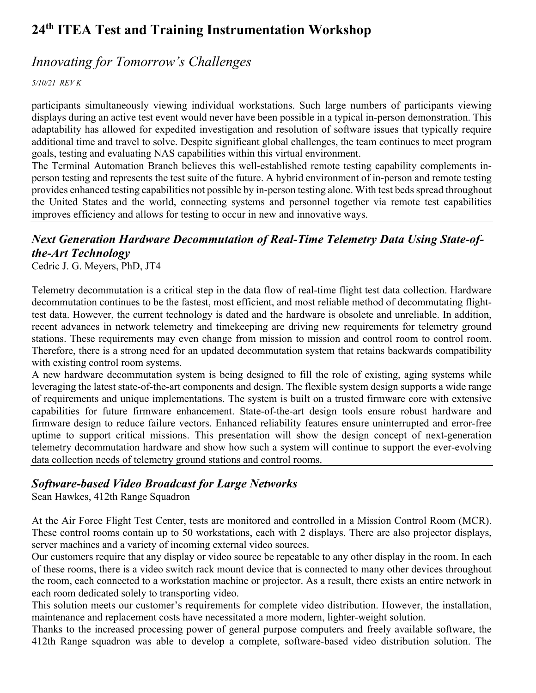### *Innovating for Tomorrow's Challenges*

*5/10/21 REV K*

participants simultaneously viewing individual workstations. Such large numbers of participants viewing displays during an active test event would never have been possible in a typical in-person demonstration. This adaptability has allowed for expedited investigation and resolution of software issues that typically require additional time and travel to solve. Despite significant global challenges, the team continues to meet program goals, testing and evaluating NAS capabilities within this virtual environment.

The Terminal Automation Branch believes this well-established remote testing capability complements inperson testing and represents the test suite of the future. A hybrid environment of in-person and remote testing provides enhanced testing capabilities not possible by in-person testing alone. With test beds spread throughout the United States and the world, connecting systems and personnel together via remote test capabilities improves efficiency and allows for testing to occur in new and innovative ways.

## *Next Generation Hardware Decommutation of Real-Time Telemetry Data Using State-ofthe-Art Technology*

Cedric J. G. Meyers, PhD, JT4

Telemetry decommutation is a critical step in the data flow of real-time flight test data collection. Hardware decommutation continues to be the fastest, most efficient, and most reliable method of decommutating flighttest data. However, the current technology is dated and the hardware is obsolete and unreliable. In addition, recent advances in network telemetry and timekeeping are driving new requirements for telemetry ground stations. These requirements may even change from mission to mission and control room to control room. Therefore, there is a strong need for an updated decommutation system that retains backwards compatibility with existing control room systems.

A new hardware decommutation system is being designed to fill the role of existing, aging systems while leveraging the latest state-of-the-art components and design. The flexible system design supports a wide range of requirements and unique implementations. The system is built on a trusted firmware core with extensive capabilities for future firmware enhancement. State-of-the-art design tools ensure robust hardware and firmware design to reduce failure vectors. Enhanced reliability features ensure uninterrupted and error-free uptime to support critical missions. This presentation will show the design concept of next-generation telemetry decommutation hardware and show how such a system will continue to support the ever-evolving data collection needs of telemetry ground stations and control rooms.

#### *Software-based Video Broadcast for Large Networks*

Sean Hawkes, 412th Range Squadron

At the Air Force Flight Test Center, tests are monitored and controlled in a Mission Control Room (MCR). These control rooms contain up to 50 workstations, each with 2 displays. There are also projector displays, server machines and a variety of incoming external video sources.

Our customers require that any display or video source be repeatable to any other display in the room. In each of these rooms, there is a video switch rack mount device that is connected to many other devices throughout the room, each connected to a workstation machine or projector. As a result, there exists an entire network in each room dedicated solely to transporting video.

This solution meets our customer's requirements for complete video distribution. However, the installation, maintenance and replacement costs have necessitated a more modern, lighter-weight solution.

Thanks to the increased processing power of general purpose computers and freely available software, the 412th Range squadron was able to develop a complete, software-based video distribution solution. The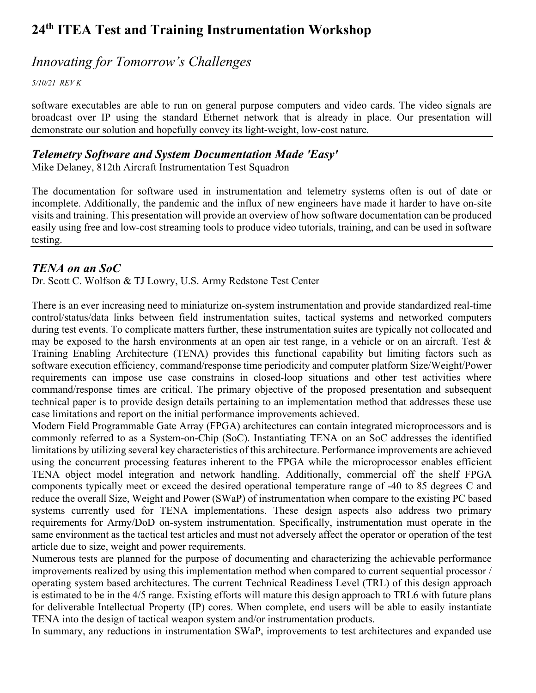### *Innovating for Tomorrow's Challenges*

*5/10/21 REV K*

software executables are able to run on general purpose computers and video cards. The video signals are broadcast over IP using the standard Ethernet network that is already in place. Our presentation will demonstrate our solution and hopefully convey its light-weight, low-cost nature.

#### *Telemetry Software and System Documentation Made 'Easy'*

Mike Delaney, 812th Aircraft Instrumentation Test Squadron

The documentation for software used in instrumentation and telemetry systems often is out of date or incomplete. Additionally, the pandemic and the influx of new engineers have made it harder to have on-site visits and training. This presentation will provide an overview of how software documentation can be produced easily using free and low-cost streaming tools to produce video tutorials, training, and can be used in software testing.

#### *TENA on an SoC*

Dr. Scott C. Wolfson & TJ Lowry, U.S. Army Redstone Test Center

There is an ever increasing need to miniaturize on-system instrumentation and provide standardized real-time control/status/data links between field instrumentation suites, tactical systems and networked computers during test events. To complicate matters further, these instrumentation suites are typically not collocated and may be exposed to the harsh environments at an open air test range, in a vehicle or on an aircraft. Test & Training Enabling Architecture (TENA) provides this functional capability but limiting factors such as software execution efficiency, command/response time periodicity and computer platform Size/Weight/Power requirements can impose use case constrains in closed-loop situations and other test activities where command/response times are critical. The primary objective of the proposed presentation and subsequent technical paper is to provide design details pertaining to an implementation method that addresses these use case limitations and report on the initial performance improvements achieved.

Modern Field Programmable Gate Array (FPGA) architectures can contain integrated microprocessors and is commonly referred to as a System-on-Chip (SoC). Instantiating TENA on an SoC addresses the identified limitations by utilizing several key characteristics of this architecture. Performance improvements are achieved using the concurrent processing features inherent to the FPGA while the microprocessor enables efficient TENA object model integration and network handling. Additionally, commercial off the shelf FPGA components typically meet or exceed the desired operational temperature range of -40 to 85 degrees C and reduce the overall Size, Weight and Power (SWaP) of instrumentation when compare to the existing PC based systems currently used for TENA implementations. These design aspects also address two primary requirements for Army/DoD on-system instrumentation. Specifically, instrumentation must operate in the same environment as the tactical test articles and must not adversely affect the operator or operation of the test article due to size, weight and power requirements.

Numerous tests are planned for the purpose of documenting and characterizing the achievable performance improvements realized by using this implementation method when compared to current sequential processor / operating system based architectures. The current Technical Readiness Level (TRL) of this design approach is estimated to be in the 4/5 range. Existing efforts will mature this design approach to TRL6 with future plans for deliverable Intellectual Property (IP) cores. When complete, end users will be able to easily instantiate TENA into the design of tactical weapon system and/or instrumentation products.

In summary, any reductions in instrumentation SWaP, improvements to test architectures and expanded use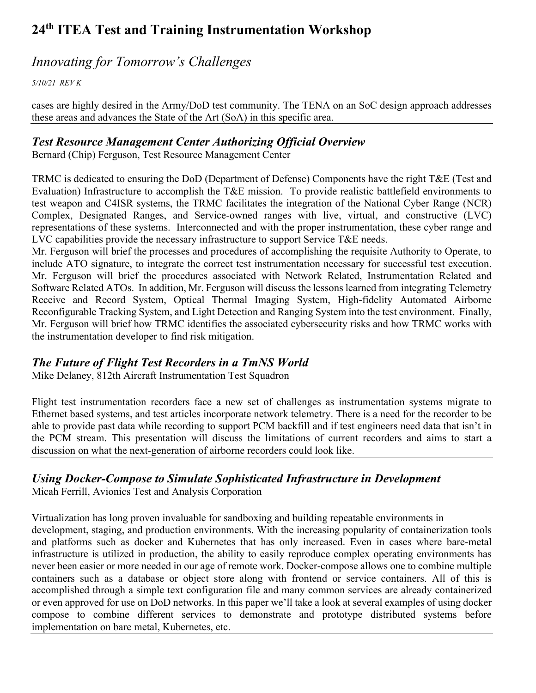### *Innovating for Tomorrow's Challenges*

*5/10/21 REV K*

cases are highly desired in the Army/DoD test community. The TENA on an SoC design approach addresses these areas and advances the State of the Art (SoA) in this specific area.

#### *Test Resource Management Center Authorizing Official Overview*

Bernard (Chip) Ferguson, Test Resource Management Center

TRMC is dedicated to ensuring the DoD (Department of Defense) Components have the right T&E (Test and Evaluation) Infrastructure to accomplish the T&E mission. To provide realistic battlefield environments to test weapon and C4ISR systems, the TRMC facilitates the integration of the National Cyber Range (NCR) Complex, Designated Ranges, and Service-owned ranges with live, virtual, and constructive (LVC) representations of these systems. Interconnected and with the proper instrumentation, these cyber range and LVC capabilities provide the necessary infrastructure to support Service T&E needs.

Mr. Ferguson will brief the processes and procedures of accomplishing the requisite Authority to Operate, to include ATO signature, to integrate the correct test instrumentation necessary for successful test execution. Mr. Ferguson will brief the procedures associated with Network Related, Instrumentation Related and Software Related ATOs. In addition, Mr. Ferguson will discuss the lessons learned from integrating Telemetry Receive and Record System, Optical Thermal Imaging System, High-fidelity Automated Airborne Reconfigurable Tracking System, and Light Detection and Ranging System into the test environment. Finally, Mr. Ferguson will brief how TRMC identifies the associated cybersecurity risks and how TRMC works with the instrumentation developer to find risk mitigation.

### *The Future of Flight Test Recorders in a TmNS World*

Mike Delaney, 812th Aircraft Instrumentation Test Squadron

Flight test instrumentation recorders face a new set of challenges as instrumentation systems migrate to Ethernet based systems, and test articles incorporate network telemetry. There is a need for the recorder to be able to provide past data while recording to support PCM backfill and if test engineers need data that isn't in the PCM stream. This presentation will discuss the limitations of current recorders and aims to start a discussion on what the next-generation of airborne recorders could look like.

### *Using Docker-Compose to Simulate Sophisticated Infrastructure in Development*

Micah Ferrill, Avionics Test and Analysis Corporation

Virtualization has long proven invaluable for sandboxing and building repeatable environments in development, staging, and production environments. With the increasing popularity of containerization tools and platforms such as docker and Kubernetes that has only increased. Even in cases where bare-metal infrastructure is utilized in production, the ability to easily reproduce complex operating environments has never been easier or more needed in our age of remote work. Docker-compose allows one to combine multiple containers such as a database or object store along with frontend or service containers. All of this is accomplished through a simple text configuration file and many common services are already containerized or even approved for use on DoD networks. In this paper we'll take a look at several examples of using docker compose to combine different services to demonstrate and prototype distributed systems before implementation on bare metal, Kubernetes, etc.